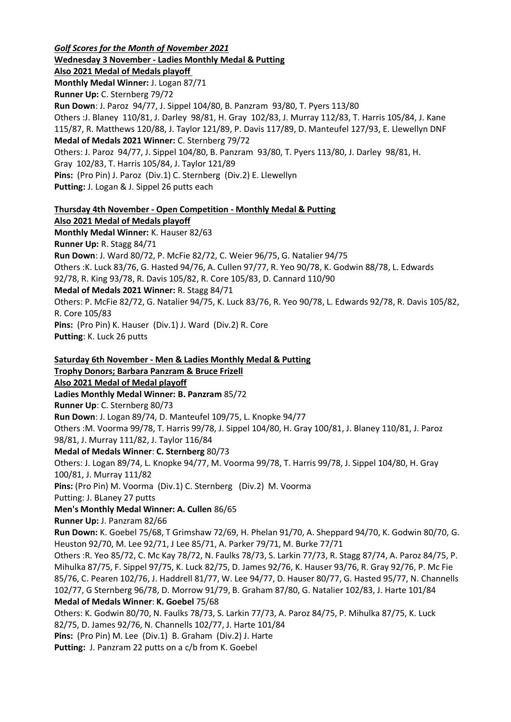*Golf Scores for the Month of November 2021* **Wednesday 3 November - Ladies Monthly Medal & Putting Also 2021 Medal of Medals playoff Monthly Medal Winner:** J. Logan 87/71 **Runner Up:** C. Sternberg 79/72 **Run Down**: J. Paroz 94/77, J. Sippel 104/80, B. Panzram 93/80, T. Pyers 113/80 Others :J. Blaney 110/81, J. Darley 98/81, H. Gray 102/83, J. Murray 112/83, T. Harris 105/84, J. Kane 115/87, R. Matthews 120/88, J. Taylor 121/89, P. Davis 117/89, D. Manteufel 127/93, E. Llewellyn DNF **Medal of Medals 2021 Winner:** C. Sternberg 79/72 Others: J. Paroz 94/77, J. Sippel 104/80, B. Panzram 93/80, T. Pyers 113/80, J. Darley 98/81, H. Gray 102/83, T. Harris 105/84, J. Taylor 121/89 **Pins:** (Pro Pin) J. Paroz (Div.1) C. Sternberg (Div.2) E. Llewellyn **Putting:** J. Logan & J. Sippel 26 putts each **Thursday 4th November - Open Competition - Monthly Medal & Putting Also 2021 Medal of Medals playoff Monthly Medal Winner:** K. Hauser 82/63 **Runner Up:** R. Stagg 84/71 **Run Down**: J. Ward 80/72, P. McFie 82/72, C. Weier 96/75, G. Natalier 94/75 Others :K. Luck 83/76, G. Hasted 94/76, A. Cullen 97/77, R. Yeo 90/78, K. Godwin 88/78, L. Edwards 92/78, R. King 93/78, R. Davis 105/82, R. Core 105/83, D. Cannard 110/90 **Medal of Medals 2021 Winner:** R. Stagg 84/71 Others: P. McFie 82/72, G. Natalier 94/75, K. Luck 83/76, R. Yeo 90/78, L. Edwards 92/78, R. Davis 105/82, R. Core 105/83 **Pins:** (Pro Pin) K. Hauser (Div.1) J. Ward (Div.2) R. Core **Putting**: K. Luck 26 putts **Saturday 6th November - Men & Ladies Monthly Medal & Putting Trophy Donors; Barbara Panzram & Bruce Frizell Also 2021 Medal of Medal playoff Ladies Monthly Medal Winner: B. Panzram** 85/72 **Runner Up**: C. Sternberg 80/73 **Run Down**: J. Logan 89/74, D. Manteufel 109/75, L. Knopke 94/77 Others :M. Voorma 99/78, T. Harris 99/78, J. Sippel 104/80, H. Gray 100/81, J. Blaney 110/81, J. Paroz 98/81, J. Murray 111/82, J. Taylor 116/84 **Medal of Medals Winner**: **C. Sternberg** 80/73 Others: J. Logan 89/74, L. Knopke 94/77, M. Voorma 99/78, T. Harris 99/78, J. Sippel 104/80, H. Gray 100/81, J. Murray 111/82 **Pins:** (Pro Pin) M. Voorma (Div.1) C. Sternberg (Div.2) M. Voorma Putting: J. BLaney 27 putts **Men's Monthly Medal Winner: A. Cullen** 86/65 **Runner Up:** J. Panzram 82/66 **Run Down:** K. Goebel 75/68, T Grimshaw 72/69, H. Phelan 91/70, A. Sheppard 94/70, K. Godwin 80/70, G. Heuston 92/70, M. Lee 92/71, J Lee 85/71, A. Parker 79/71, M. Burke 77/71 Others :R. Yeo 85/72, C. Mc Kay 78/72, N. Faulks 78/73, S. Larkin 77/73, R. Stagg 87/74, A. Paroz 84/75, P. Mihulka 87/75, F. Sippel 97/75, K. Luck 82/75, D. James 92/76, K. Hauser 93/76, R. Gray 92/76, P. Mc Fie 85/76, C. Pearen 102/76, J. Haddrell 81/77, W. Lee 94/77, D. Hauser 80/77, G. Hasted 95/77, N. Channells 102/77, G Sternberg 96/78, D. Morrow 91/79, B. Graham 87/80, G. Natalier 102/83, J. Harte 101/84 **Medal of Medals Winner**: **K. Goebel** 75/68 Others: K. Godwin 80/70, N. Faulks 78/73, S. Larkin 77/73, A. Paroz 84/75, P. Mihulka 87/75, K. Luck 82/75, D. James 92/76, N. Channells 102/77, J. Harte 101/84 **Pins:** (Pro Pin) M. Lee (Div.1) B. Graham (Div.2) J. Harte Putting: J. Panzram 22 putts on a c/b from K. Goebel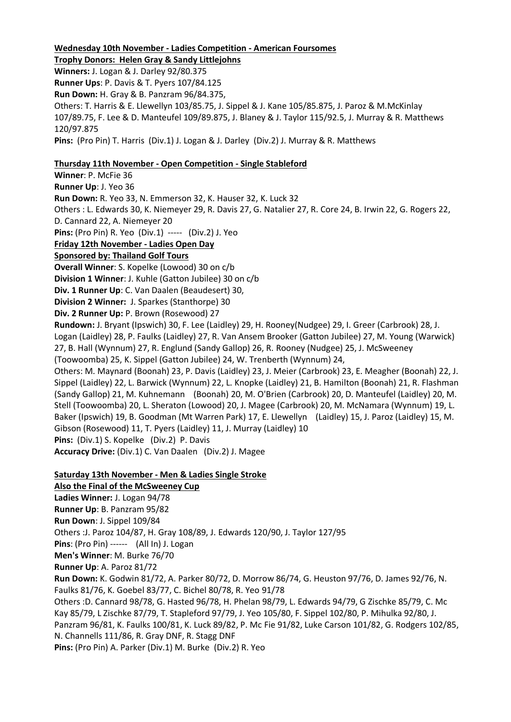#### **Wednesday 10th November - Ladies Competition - American Foursomes**

**Trophy Donors: Helen Gray & Sandy Littlejohns Winners:** J. Logan & J. Darley 92/80.375 **Runner Ups**: P. Davis & T. Pyers 107/84.125 **Run Down:** H. Gray & B. Panzram 96/84.375, Others: T. Harris & E. Llewellyn 103/85.75, J. Sippel & J. Kane 105/85.875, J. Paroz & M.McKinlay 107/89.75, F. Lee & D. Manteufel 109/89.875, J. Blaney & J. Taylor 115/92.5, J. Murray & R. Matthews 120/97.875 **Pins:** (Pro Pin) T. Harris (Div.1) J. Logan & J. Darley (Div.2) J. Murray & R. Matthews

# **Thursday 11th November - Open Competition - Single Stableford**

**Winner**: P. McFie 36 **Runner Up**: J. Yeo 36 **Run Down:** R. Yeo 33, N. Emmerson 32, K. Hauser 32, K. Luck 32 Others : L. Edwards 30, K. Niemeyer 29, R. Davis 27, G. Natalier 27, R. Core 24, B. Irwin 22, G. Rogers 22, D. Cannard 22, A. Niemeyer 20 **Pins:** (Pro Pin) R. Yeo (Div.1) ----- (Div.2) J. Yeo **Friday 12th November - Ladies Open Day Sponsored by: Thailand Golf Tours Overall Winner**: S. Kopelke (Lowood) 30 on c/b **Division 1 Winner**: J. Kuhle (Gatton Jubilee) 30 on c/b **Div. 1 Runner Up**: C. Van Daalen (Beaudesert) 30, **Division 2 Winner:** J. Sparkes (Stanthorpe) 30 **Div. 2 Runner Up:** P. Brown (Rosewood) 27 **Rundown:** J. Bryant (Ipswich) 30, F. Lee (Laidley) 29, H. Rooney(Nudgee) 29, I. Greer (Carbrook) 28, J. Logan (Laidley) 28, P. Faulks (Laidley) 27, R. Van Ansem Brooker (Gatton Jubilee) 27, M. Young (Warwick) 27, B. Hall (Wynnum) 27, R. Englund (Sandy Gallop) 26, R. Rooney (Nudgee) 25, J. McSweeney (Toowoomba) 25, K. Sippel (Gatton Jubilee) 24, W. Trenberth (Wynnum) 24, Others: M. Maynard (Boonah) 23, P. Davis (Laidley) 23, J. Meier (Carbrook) 23, E. Meagher (Boonah) 22, J. Sippel (Laidley) 22, L. Barwick (Wynnum) 22, L. Knopke (Laidley) 21, B. Hamilton (Boonah) 21, R. Flashman (Sandy Gallop) 21, M. Kuhnemann (Boonah) 20, M. O'Brien (Carbrook) 20, D. Manteufel (Laidley) 20, M. Stell (Toowoomba) 20, L. Sheraton (Lowood) 20, J. Magee (Carbrook) 20, M. McNamara (Wynnum) 19, L. Baker (Ipswich) 19, B. Goodman (Mt Warren Park) 17, E. Llewellyn (Laidley) 15, J. Paroz (Laidley) 15, M. Gibson (Rosewood) 11, T. Pyers (Laidley) 11, J. Murray (Laidley) 10 **Pins:** (Div.1) S. Kopelke (Div.2) P. Davis

**Accuracy Drive:** (Div.1) C. Van Daalen (Div.2) J. Magee

## **Saturday 13th November - Men & Ladies Single Stroke**

**Also the Final of the McSweeney Cup Ladies Winner:** J. Logan 94/78 **Runner Up**: B. Panzram 95/82 **Run Down**: J. Sippel 109/84 Others :J. Paroz 104/87, H. Gray 108/89, J. Edwards 120/90, J. Taylor 127/95 **Pins**: (Pro Pin) ------ (All In) J. Logan **Men's Winner**: M. Burke 76/70 **Runner Up**: A. Paroz 81/72 **Run Down:** K. Godwin 81/72, A. Parker 80/72, D. Morrow 86/74, G. Heuston 97/76, D. James 92/76, N. Faulks 81/76, K. Goebel 83/77, C. Bichel 80/78, R. Yeo 91/78 Others :D. Cannard 98/78, G. Hasted 96/78, H. Phelan 98/79, L. Edwards 94/79, G Zischke 85/79, C. Mc Kay 85/79, L Zischke 87/79, T. Stapleford 97/79, J. Yeo 105/80, F. Sippel 102/80, P. Mihulka 92/80, J. Panzram 96/81, K. Faulks 100/81, K. Luck 89/82, P. Mc Fie 91/82, Luke Carson 101/82, G. Rodgers 102/85, N. Channells 111/86, R. Gray DNF, R. Stagg DNF **Pins:** (Pro Pin) A. Parker (Div.1) M. Burke (Div.2) R. Yeo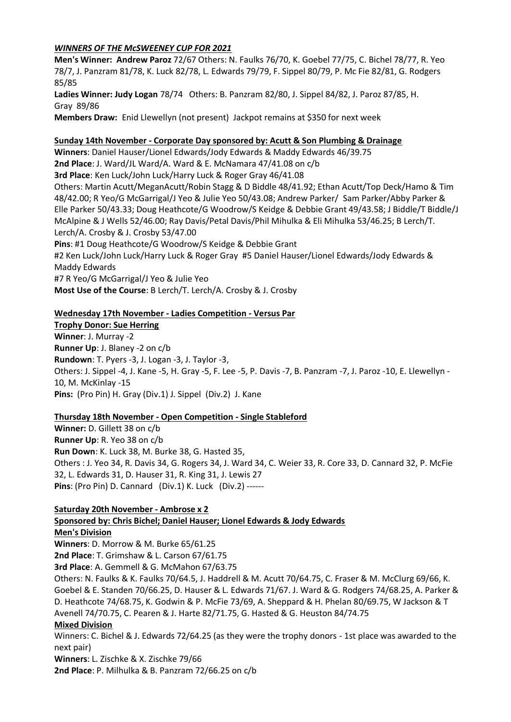# *WINNERS OF THE McSWEENEY CUP FOR 2021*

**Men's Winner: Andrew Paroz** 72/67 Others: N. Faulks 76/70, K. Goebel 77/75, C. Bichel 78/77, R. Yeo 78/7, J. Panzram 81/78, K. Luck 82/78, L. Edwards 79/79, F. Sippel 80/79, P. Mc Fie 82/81, G. Rodgers 85/85

**Ladies Winner: Judy Logan** 78/74 Others: B. Panzram 82/80, J. Sippel 84/82, J. Paroz 87/85, H. Gray 89/86

**Members Draw:** Enid Llewellyn (not present) Jackpot remains at \$350 for next week

#### **Sunday 14th November - Corporate Day sponsored by: Acutt & Son Plumbing & Drainage**

**Winners**: Daniel Hauser/Lionel Edwards/Jody Edwards & Maddy Edwards 46/39.75 **2nd Place**: J. Ward/JL Ward/A. Ward & E. McNamara 47/41.08 on c/b **3rd Place**: Ken Luck/John Luck/Harry Luck & Roger Gray 46/41.08 Others: Martin Acutt/MeganAcutt/Robin Stagg & D Biddle 48/41.92; Ethan Acutt/Top Deck/Hamo & Tim 48/42.00; R Yeo/G McGarrigal/J Yeo & Julie Yeo 50/43.08; Andrew Parker/ Sam Parker/Abby Parker & Elle Parker 50/43.33; Doug Heathcote/G Woodrow/S Keidge & Debbie Grant 49/43.58; J Biddle/T Biddle/J McAlpine & J Wells 52/46.00; Ray Davis/Petal Davis/Phil Mihulka & Eli Mihulka 53/46.25; B Lerch/T. Lerch/A. Crosby & J. Crosby 53/47.00 **Pins**: #1 Doug Heathcote/G Woodrow/S Keidge & Debbie Grant #2 Ken Luck/John Luck/Harry Luck & Roger Gray #5 Daniel Hauser/Lionel Edwards/Jody Edwards & Maddy Edwards

#7 R Yeo/G McGarrigal/J Yeo & Julie Yeo

**Most Use of the Course**: B Lerch/T. Lerch/A. Crosby & J. Crosby

## **Wednesday 17th November - Ladies Competition - Versus Par**

**Trophy Donor: Sue Herring Winner**: J. Murray -2 **Runner Up**: J. Blaney -2 on c/b **Rundown**: T. Pyers -3, J. Logan -3, J. Taylor -3, Others: J. Sippel -4, J. Kane -5, H. Gray -5, F. Lee -5, P. Davis -7, B. Panzram -7, J. Paroz -10, E. Llewellyn - 10, M. McKinlay -15 **Pins:** (Pro Pin) H. Gray (Div.1) J. Sippel (Div.2) J. Kane

#### **Thursday 18th November - Open Competition - Single Stableford**

**Winner:** D. Gillett 38 on c/b **Runner Up**: R. Yeo 38 on c/b **Run Down**: K. Luck 38, M. Burke 38, G. Hasted 35, Others : J. Yeo 34, R. Davis 34, G. Rogers 34, J. Ward 34, C. Weier 33, R. Core 33, D. Cannard 32, P. McFie 32, L. Edwards 31, D. Hauser 31, R. King 31, J. Lewis 27 **Pins**: (Pro Pin) D. Cannard (Div.1) K. Luck (Div.2) ------

## **Saturday 20th November - Ambrose x 2**

**Sponsored by: Chris Bichel; Daniel Hauser; Lionel Edwards & Jody Edwards Men's Division**

**Winners**: D. Morrow & M. Burke 65/61.25 **2nd Place**: T. Grimshaw & L. Carson 67/61.75

**3rd Place**: A. Gemmell & G. McMahon 67/63.75

Others: N. Faulks & K. Faulks 70/64.5, J. Haddrell & M. Acutt 70/64.75, C. Fraser & M. McClurg 69/66, K. Goebel & E. Standen 70/66.25, D. Hauser & L. Edwards 71/67. J. Ward & G. Rodgers 74/68.25, A. Parker & D. Heathcote 74/68.75, K. Godwin & P. McFie 73/69, A. Sheppard & H. Phelan 80/69.75, W Jackson & T Avenell 74/70.75, C. Pearen & J. Harte 82/71.75, G. Hasted & G. Heuston 84/74.75

## **Mixed Division**

Winners: C. Bichel & J. Edwards 72/64.25 (as they were the trophy donors - 1st place was awarded to the next pair)

**Winners**: L. Zischke & X. Zischke 79/66

**2nd Place**: P. Milhulka & B. Panzram 72/66.25 on c/b